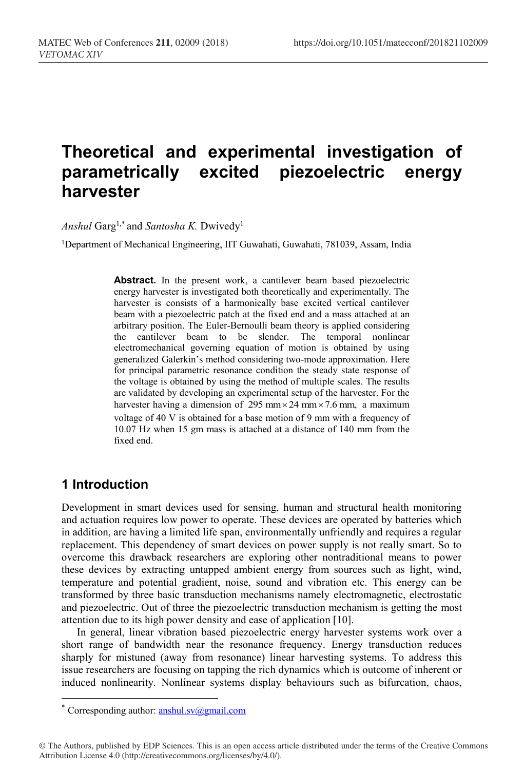# **Theoretical and experimental investigation of parametrically excited piezoelectric energy harvester**

*Anshul* Garg1,\* and *Santosha K.* Dwivedy1

1Department of Mechanical Engineering, IIT Guwahati, Guwahati, 781039, Assam, India

Abstract. In the present work, a cantilever beam based piezoelectric energy harvester is investigated both theoretically and experimentally. The harvester is consists of a harmonically base excited vertical cantilever beam with a piezoelectric patch at the fixed end and a mass attached at an arbitrary position. The Euler-Bernoulli beam theory is applied considering the cantilever beam to be slender. The temporal nonlinear electromechanical governing equation of motion is obtained by using generalized Galerkin's method considering two-mode approximation. Here for principal parametric resonance condition the steady state response of the voltage is obtained by using the method of multiple scales. The results are validated by developing an experimental setup of the harvester. For the harvester having a dimension of 295 mm  $\times$  24 mm  $\times$  7.6 mm, a maximum voltage of 40 V is obtained for a base motion of 9 mm with a frequency of 10.07 Hz when 15 gm mass is attached at a distance of 140 mm from the fixed end.

## **1 Introduction**

 $\overline{a}$ 

Development in smart devices used for sensing, human and structural health monitoring and actuation requires low power to operate. These devices are operated by batteries which in addition, are having a limited life span, environmentally unfriendly and requires a regular replacement. This dependency of smart devices on power supply is not really smart. So to overcome this drawback researchers are exploring other nontraditional means to power these devices by extracting untapped ambient energy from sources such as light, wind, temperature and potential gradient, noise, sound and vibration etc. This energy can be transformed by three basic transduction mechanisms namely electromagnetic, electrostatic and piezoelectric. Out of three the piezoelectric transduction mechanism is getting the most attention due to its high power density and ease of application [10].

In general, linear vibration based piezoelectric energy harvester systems work over a short range of bandwidth near the resonance frequency. Energy transduction reduces sharply for mistuned (away from resonance) linear harvesting systems. To address this issue researchers are focusing on tapping the rich dynamics which is outcome of inherent or induced nonlinearity. Nonlinear systems display behaviours such as bifurcation, chaos,

<sup>\*</sup> Corresponding author:  $anshul.sv@gmail.com$ 

<sup>©</sup> The Authors, published by EDP Sciences. This is an open access article distributed under the terms of the Creative Commons Attribution License 4.0 (http://creativecommons.org/licenses/by/4.0/).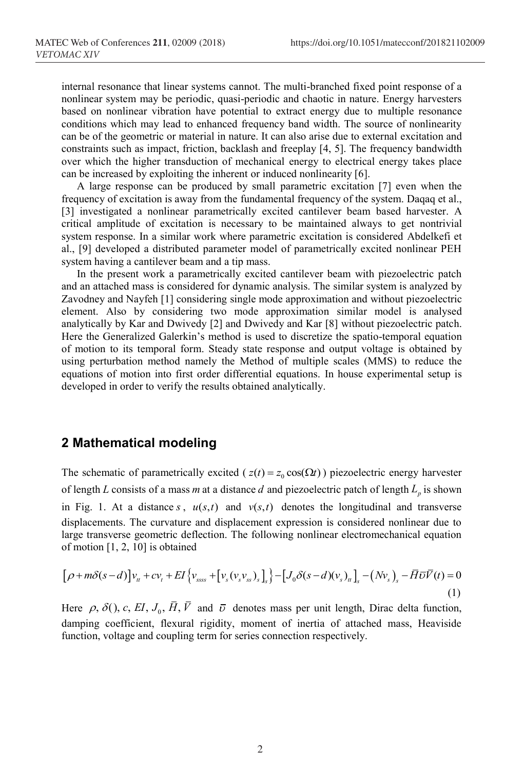internal resonance that linear systems cannot. The multi-branched fixed point response of a nonlinear system may be periodic, quasi-periodic and chaotic in nature. Energy harvesters based on nonlinear vibration have potential to extract energy due to multiple resonance conditions which may lead to enhanced frequency band width. The source of nonlinearity can be of the geometric or material in nature. It can also arise due to external excitation and constraints such as impact, friction, backlash and freeplay [4, 5]. The frequency bandwidth over which the higher transduction of mechanical energy to electrical energy takes place can be increased by exploiting the inherent or induced nonlinearity [6].

A large response can be produced by small parametric excitation [7] even when the frequency of excitation is away from the fundamental frequency of the system. Daqaq et al., [3] investigated a nonlinear parametrically excited cantilever beam based harvester. A critical amplitude of excitation is necessary to be maintained always to get nontrivial system response. In a similar work where parametric excitation is considered Abdelkefi et al., [9] developed a distributed parameter model of parametrically excited nonlinear PEH system having a cantilever beam and a tip mass.

In the present work a parametrically excited cantilever beam with piezoelectric patch and an attached mass is considered for dynamic analysis. The similar system is analyzed by Zavodney and Nayfeh [1] considering single mode approximation and without piezoelectric element. Also by considering two mode approximation similar model is analysed analytically by Kar and Dwivedy [2] and Dwivedy and Kar [8] without piezoelectric patch. Here the Generalized Galerkin's method is used to discretize the spatio-temporal equation of motion to its temporal form. Steady state response and output voltage is obtained by using perturbation method namely the Method of multiple scales (MMS) to reduce the equations of motion into first order differential equations. In house experimental setup is developed in order to verify the results obtained analytically.

### **2 Mathematical modeling**

The schematic of parametrically excited ( $z(t) = z_0 \cos(\Omega t)$ ) piezoelectric energy harvester of length *L* consists of a mass *m* at a distance *d* and piezoelectric patch of length  $L_p$  is shown in Fig. 1. At a distance *s*,  $u(s,t)$  and  $v(s,t)$  denotes the longitudinal and transverse displacements. The curvature and displacement expression is considered nonlinear due to large transverse geometric deflection. The following nonlinear electromechanical equation of motion [1, 2, 10] is obtained

$$
\left[\rho + m\delta(s-d)\right]v_{tt} + cv_{t} + EI\left\{v_{ssss} + \left[v_{s}(v_{s}v_{ss})_{s}\right]_{s}\right\} - \left[J_{0}\delta(s-d)(v_{s})_{tt}\right]_{s} - (Nv_{s})_{s} - \overrightarrow{H}\overrightarrow{v}\overrightarrow{V}(t) = 0
$$
\n(1)

Here  $\rho$ ,  $\delta$ (), c, EI,  $J_0$ ,  $\overline{H}$ ,  $\overline{V}$  and  $\overline{v}$  denotes mass per unit length, Dirac delta function, damping coefficient, flexural rigidity, moment of inertia of attached mass, Heaviside function, voltage and coupling term for series connection respectively.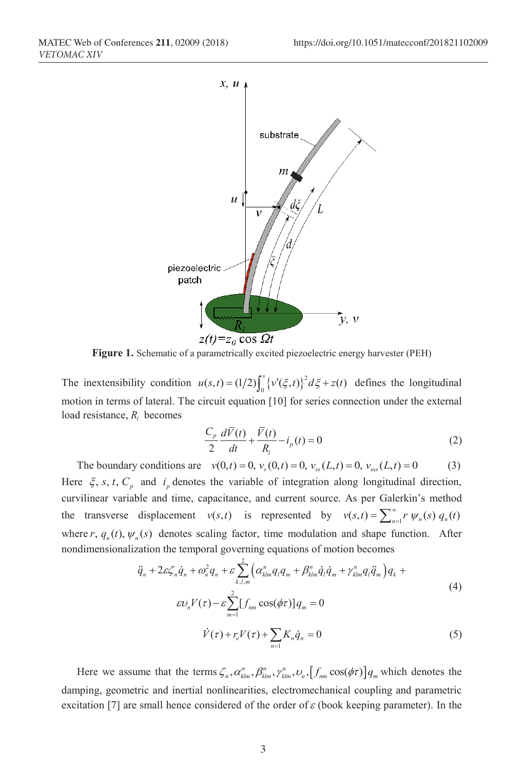

**Figure 1.** Schematic of a parametrically excited piezoelectric energy harvester (PEH)

The inextensibility condition  $u(s,t) = (1/2) \int_0^s \{v'(\xi,t)\}^2 d\xi + z(t)$  defines the longitudinal motion in terms of lateral. The circuit equation [10] for series connection under the external load resistance,  $R_i$  becomes

$$
\frac{C_p}{2}\frac{d\bar{V}(t)}{dt} + \frac{\bar{V}(t)}{R_l} - i_p(t) = 0
$$
\n(2)

The boundary conditions are  $v(0, t) = 0$ ,  $v_s(0, t) = 0$ ,  $v_{ss}(L, t) = 0$ ,  $v_{ss}(L, t) = 0$  (3) Here  $\xi$ , *s*, *t*,  $C_p$  and  $i_p$  denotes the variable of integration along longitudinal direction, curvilinear variable and time, capacitance, and current source. As per Galerkin's method the transverse displacement  $v(s,t)$  is represented by  $v(s,t) = \sum_{n=1}^{\infty} r \psi_n(s) q_n(t)$ where r,  $q_n(t)$ ,  $\psi_n(s)$  denotes scaling factor, time modulation and shape function. After nondimensionalization the temporal governing equations of motion becomes

$$
\ddot{q}_n + 2\varepsilon \zeta_n \dot{q}_n + \omega_n^2 q_n + \varepsilon \sum_{k,l,m}^2 \Big( \alpha_{klm}^n q_l q_m + \beta_{klm}^n \dot{q}_l \dot{q}_m + \gamma_{klm}^n q_l \ddot{q}_m \Big) q_k +
$$
  
\n
$$
\varepsilon v_n V(\tau) - \varepsilon \sum_{m=1}^2 \Big[ f_{nm} \cos(\phi \tau) \Big] q_m = 0
$$
  
\n
$$
\dot{V}(\tau) + r_e V(\tau) + \sum_{n=1}^N K_n \dot{q}_n = 0
$$
\n(5)

Here we assume that the terms  $\zeta_n$ ,  $\alpha_{klm}^n$ ,  $\beta_{klm}^n$ ,  $\nu_n$ ,  $[f_{nm} \cos(\phi \tau)] q_m$  which denotes the damping, geometric and inertial nonlinearities, electromechanical coupling and parametric excitation [7] are small hence considered of the order of  $\varepsilon$  (book keeping parameter). In the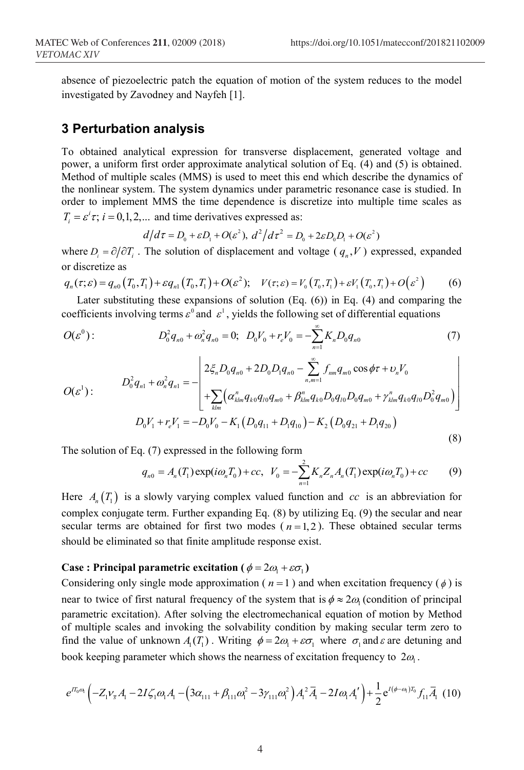absence of piezoelectric patch the equation of motion of the system reduces to the model investigated by Zavodney and Nayfeh [1].

## **3 Perturbation analysis**

To obtained analytical expression for transverse displacement, generated voltage and power, a uniform first order approximate analytical solution of Eq. (4) and (5) is obtained. Method of multiple scales (MMS) is used to meet this end which describe the dynamics of the nonlinear system. The system dynamics under parametric resonance case is studied. In order to implement MMS the time dependence is discretize into multiple time scales as  $T_i = \varepsilon^i \tau$ ;  $i = 0, 1, 2, ...$  and time derivatives expressed as:

$$
d/d\tau = D_0 + \varepsilon D_1 + O(\varepsilon^2), d^2/d\tau^2 = D_0 + 2\varepsilon D_0 D_1 + O(\varepsilon^2)
$$

where  $D_i = \partial/\partial T_i$ . The solution of displacement and voltage ( $q_i$ , *V*) expressed, expanded or discretize as

$$
q_n(\tau;\varepsilon) = q_{n0}\left(T_0,T_1\right) + \varepsilon q_{n1}\left(T_0,T_1\right) + O(\varepsilon^2); \quad V(\tau;\varepsilon) = V_0\left(T_0,T_1\right) + \varepsilon V_1\left(T_0,T_1\right) + O(\varepsilon^2) \tag{6}
$$

Later substituting these expansions of solution  $(Eq. (6))$  in Eq.  $(4)$  and comparing the coefficients involving terms  $\varepsilon^0$  and  $\varepsilon^1$ , yields the following set of differential equations

$$
O(\varepsilon^{0}): \t D_{0}^{2}q_{n0} + \omega_{n}^{2}q_{n0} = 0; \t D_{0}V_{0} + r_{e}V_{0} = -\sum_{n=1}^{\infty} K_{n}D_{0}q_{n0} \t (7)
$$

$$
O(\varepsilon^{1}): \qquad D_{0}^{2}q_{n1} + \omega_{n}^{2}q_{n1} = -\left[\begin{array}{l} 2\xi_{n}D_{0}q_{n0} + 2D_{0}D_{1}q_{n0} - \sum_{n,m=1}^{\infty} f_{nm}q_{m0}\cos\phi\tau + \nu_{n}V_{0} \\ + \sum_{klm} \left(\alpha_{klm}^{n}q_{k0}q_{l0}q_{m0} + \beta_{klm}^{n}q_{k0}D_{0}q_{l0}D_{0}q_{m0} + \gamma_{klm}^{n}q_{k0}q_{l0}D_{0}^{2}q_{m0}\right) \end{array}\right]
$$
\n
$$
D_{0}V_{1} + r_{e}V_{1} = -D_{0}V_{0} - K_{1}\left(D_{0}q_{11} + D_{1}q_{10}\right) - K_{2}\left(D_{0}q_{21} + D_{1}q_{20}\right)
$$
\n
$$
(8)
$$

The solution of Eq. (7) expressed in the following form

$$
q_{n0} = A_n(T_1) \exp(i\omega_n T_0) + cc, \ \ V_0 = -\sum_{n=1}^2 K_n Z_n A_n(T_1) \exp(i\omega_n T_0) + cc \tag{9}
$$

Here  $A_n(T_1)$  is a slowly varying complex valued function and *cc* is an abbreviation for complex conjugate term. Further expanding Eq. (8) by utilizing Eq. (9) the secular and near secular terms are obtained for first two modes  $(n=1, 2)$ . These obtained secular terms should be eliminated so that finite amplitude response exist.

#### **Case : Principal parametric excitation (** $\phi = 2\omega_1 + \varepsilon \sigma_1$ )

Considering only single mode approximation ( $n = 1$ ) and when excitation frequency ( $\phi$ ) is near to twice of first natural frequency of the system that is  $\phi \approx 2\omega_1$  (condition of principal parametric excitation). After solving the electromechanical equation of motion by Method of multiple scales and invoking the solvability condition by making secular term zero to find the value of unknown  $A_1(T_1)$ . Writing  $\phi = 2\omega_1 + \varepsilon \sigma_1$  where  $\sigma_1$  and  $\varepsilon$  are detuning and book keeping parameter which shows the nearness of excitation frequency to  $2\omega$ .

$$
e^{I_{0}^{T_{0}^{0}}}\left(-Z_{1}^{V_{\overline{s}}}\mathcal{A}_{1}-2I\zeta_{1}^{T}\omega_{1}\mathcal{A}_{1}-\left(3\alpha_{111}+\beta_{111}\omega_{1}^{2}-3\gamma_{111}\omega_{1}^{2}\right)\mathcal{A}_{1}^{2}\overline{\mathcal{A}}_{1}-2I\omega_{1}\mathcal{A}_{1}^{V}\right)+\frac{1}{2}e^{I(\phi-\omega_{1})T_{0}}f_{11}\overline{\mathcal{A}}_{1}\tag{10}
$$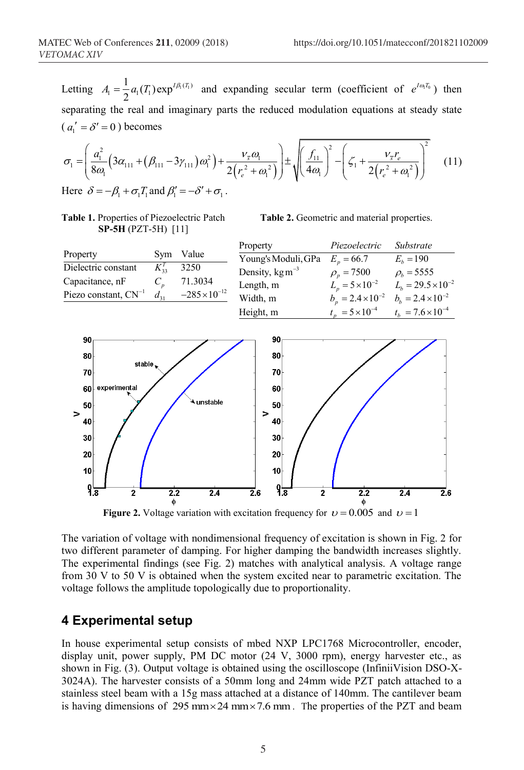Letting  $A_1 = \frac{1}{2} a_1(T_1) \exp^{I A_1(T_1)}$  and expanding secular term (coefficient of  $e^{I \omega_1 T_0}$ ) then separating the real and imaginary parts the reduced modulation equations at steady state  $(a_1' = \delta' = 0)$  becomes

$$
\sigma_{1} = \left(\frac{a_{1}^{2}}{8\omega_{1}}\left(3\alpha_{111} + (\beta_{111} - 3\gamma_{111})\omega_{1}^{2}\right) + \frac{v_{5}\omega_{1}}{2\left(r_{e}^{2} + \omega_{1}^{2}\right)}\right) \pm \sqrt{\left(\frac{f_{11}}{4\omega_{1}}\right)^{2} - \left(\zeta_{1} + \frac{v_{5}r_{e}}{2\left(r_{e}^{2} + \omega_{1}^{2}\right)}\right)^{2}}
$$
(11)  
Here  $\delta = -\beta_{1} + \sigma_{1}T_{1}$  and  $\beta_{1}' = -\delta' + \sigma_{1}$ .

**Table 1.** Properties of Piezoelectric Patch **SP-5H** (PZT-5H) [11]

**Table 2.** Geometric and material properties.

|                                                                                                                                                                                                     |                   |                                   | Property                                                                                                                                                               | Piezoelectric                                                                   | Substrate                                                                                                                                   |
|-----------------------------------------------------------------------------------------------------------------------------------------------------------------------------------------------------|-------------------|-----------------------------------|------------------------------------------------------------------------------------------------------------------------------------------------------------------------|---------------------------------------------------------------------------------|---------------------------------------------------------------------------------------------------------------------------------------------|
| Property<br>Dielectric constant                                                                                                                                                                     | Sym<br>$K_{33}^T$ | Value<br>3250                     | Young's Moduli, GPa<br>Density, $\text{kg m}^{-3}$                                                                                                                     | $E_p = 66.7$<br>$\rho_p = 7500$                                                 | $E_b = 190$<br>$\rho_b = 5555$                                                                                                              |
| Capacitance, nF<br>Piezo constant, $CN^{-1}$                                                                                                                                                        | $C_p$<br>$d_{31}$ | 71.3034<br>$-285 \times 10^{-12}$ | Length, m<br>Width, m<br>Height, m                                                                                                                                     | $t_p = 5 \times 10^{-4}$                                                        | $L_p = 5 \times 10^{-2}$ $L_h = 29.5 \times 10^{-2}$<br>$b_p = 2.4 \times 10^{-2}$ $b_b = 2.4 \times 10^{-2}$<br>$t_b = 7.6 \times 10^{-4}$ |
| 90<br>80<br>stable.<br>70<br>experimental<br>60 <sup>1</sup><br>50<br>><br>40<br>30 <sub>2</sub><br>20<br>10<br>$9\overline{3}$<br>$\overline{2}$<br>π.<br>$\mathbf{A}$ $\mathbf{V}$ . $\mathbf{A}$ | 2.2<br>Φ          | unstable<br>2.4                   | 90<br>80<br>70<br>60<br>50<br>><br>40<br>30<br>20<br>10 <sup>1</sup><br>$9\overline{3}$<br>$\overline{2.6}$<br>$\overline{2}$<br>trations talks a talation Corporation | $\overline{2.2}$<br>Φ<br>$0.005 \pm 1.1 \pm 1$<br>$\mathbf{C}$ and $\mathbf{C}$ | $\overline{2.6}$<br>$\overline{2.4}$                                                                                                        |

**Figure 2.** Voltage variation with excitation frequency for  $v = 0.005$  and  $v = 1$ 

The variation of voltage with nondimensional frequency of excitation is shown in Fig. 2 for two different parameter of damping. For higher damping the bandwidth increases slightly. The experimental findings (see Fig. 2) matches with analytical analysis. A voltage range from 30 V to 50 V is obtained when the system excited near to parametric excitation. The voltage follows the amplitude topologically due to proportionality.

## **4 Experimental setup**

In house experimental setup consists of mbed NXP LPC1768 Microcontroller, encoder, display unit, power supply, PM DC motor (24 V, 3000 rpm), energy harvester etc., as shown in Fig. (3). Output voltage is obtained using the oscilloscope (InfiniiVision DSO-X-3024A). The harvester consists of a 50mm long and 24mm wide PZT patch attached to a stainless steel beam with a 15g mass attached at a distance of 140mm. The cantilever beam is having dimensions of 295 mm  $\times$  24 mm  $\times$  7.6 mm. The properties of the PZT and beam